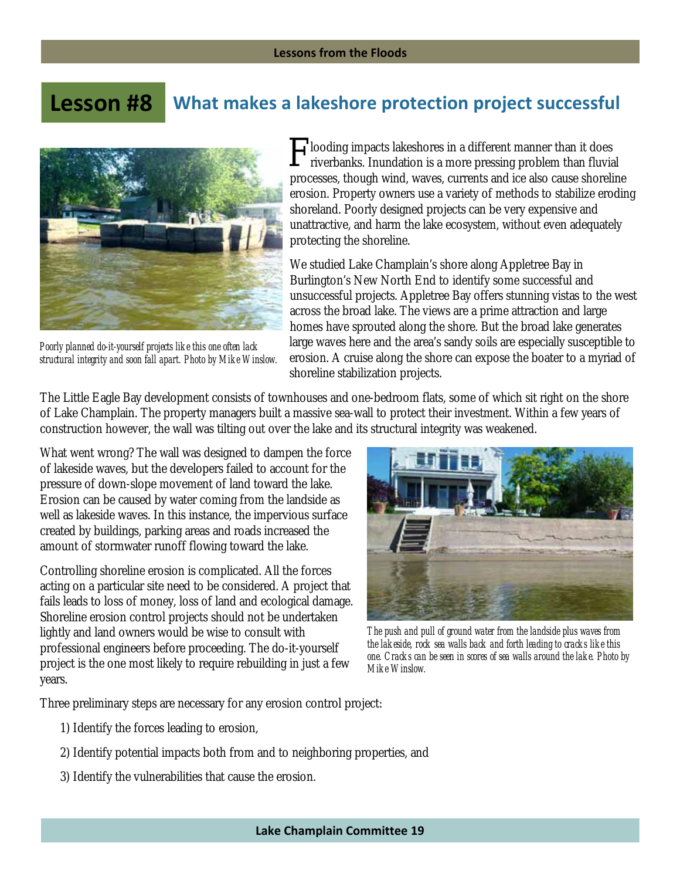## **What makes a lakeshore protection project successful Lesson #8**



*Poorly planned do-it-yourself projects like this one often lack structural integrity and soon fall apart. Photo by Mike Winslow.*

**looding impacts lakeshores in a different manner than it does** riverbanks. Inundation is a more pressing problem than fluvial processes, though wind, waves, currents and ice also cause shoreline erosion. Property owners use a variety of methods to stabilize eroding shoreland. Poorly designed projects can be very expensive and unattractive, and harm the lake ecosystem, without even adequately protecting the shoreline.

We studied Lake Champlain's shore along Appletree Bay in Burlington's New North End to identify some successful and unsuccessful projects. Appletree Bay offers stunning vistas to the west across the broad lake. The views are a prime attraction and large homes have sprouted along the shore. But the broad lake generates large waves here and the area's sandy soils are especially susceptible to erosion. A cruise along the shore can expose the boater to a myriad of shoreline stabilization projects.

The Little Eagle Bay development consists of townhouses and one-bedroom flats, some of which sit right on the shore of Lake Champlain. The property managers built a massive sea-wall to protect their investment. Within a few years of construction however, the wall was tilting out over the lake and its structural integrity was weakened.

What went wrong? The wall was designed to dampen the force of lakeside waves, but the developers failed to account for the pressure of down-slope movement of land toward the lake. Erosion can be caused by water coming from the landside as well as lakeside waves. In this instance, the impervious surface created by buildings, parking areas and roads increased the amount of stormwater runoff flowing toward the lake.

Controlling shoreline erosion is complicated. All the forces acting on a particular site need to be considered. A project that fails leads to loss of money, loss of land and ecological damage. Shoreline erosion control projects should not be undertaken lightly and land owners would be wise to consult with professional engineers before proceeding. The do-it-yourself project is the one most likely to require rebuilding in just a few years.



*The push and pull of ground water from the landside plus waves from the lakeside, rock sea walls back and forth leading to cracks like this one. Cracks can be seen in scores of sea walls around the lake. Photo by Mike Winslow.* 

Three preliminary steps are necessary for any erosion control project:

- 1) Identify the forces leading to erosion,
- 2) Identify potential impacts both from and to neighboring properties, and
- 3) Identify the vulnerabilities that cause the erosion.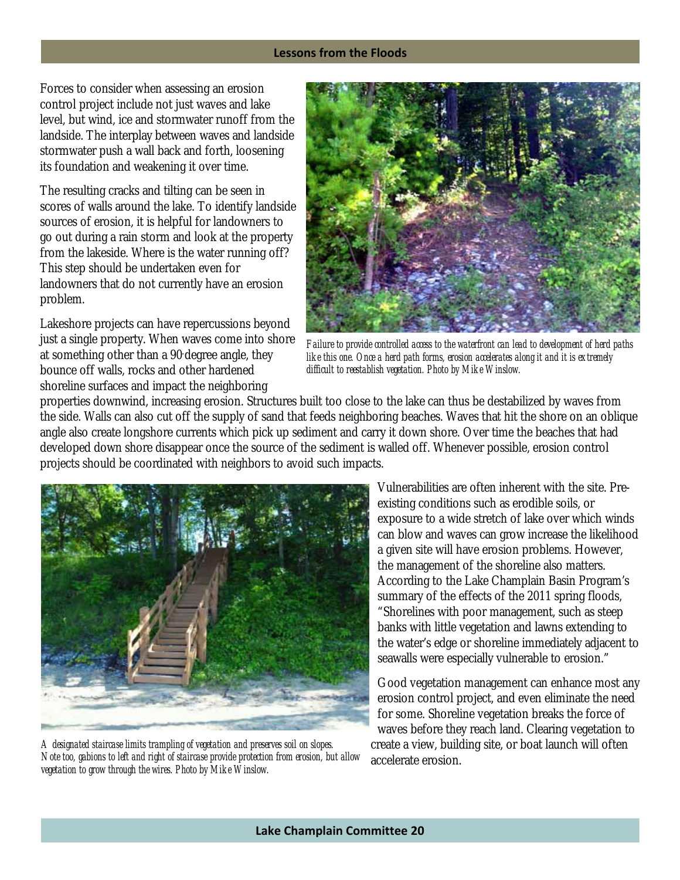## **Lessons from the Floods**

Forces to consider when assessing an erosion control project include not just waves and lake level, but wind, ice and stormwater runoff from the landside. The interplay between waves and landside stormwater push a wall back and forth, loosening its foundation and weakening it over time.

The resulting cracks and tilting can be seen in scores of walls around the lake. To identify landside sources of erosion, it is helpful for landowners to go out during a rain storm and look at the property from the lakeside. Where is the water running off? This step should be undertaken even for landowners that do not currently have an erosion problem.

Lakeshore projects can have repercussions beyond just a single property. When waves come into shore at something other than a 90- degree angle, they bounce off walls, rocks and other hardened shoreline surfaces and impact the neighboring



*Failure to provide controlled access to the waterfront can lead to development of herd paths like this one. Once a herd path forms, erosion accelerates along it and it is extremely difficult to reestablish vegetation. Photo by Mike Winslow.* 

properties downwind, increasing erosion. Structures built too close to the lake can thus be destabilized by waves from the side. Walls can also cut off the supply of sand that feeds neighboring beaches. Waves that hit the shore on an oblique angle also create longshore currents which pick up sediment and carry it down shore. Over time the beaches that had developed down shore disappear once the source of the sediment is walled off. Whenever possible, erosion control projects should be coordinated with neighbors to avoid such impacts.



*A designated staircase limits trampling of vegetation and preserves soil on slopes. Note too, gabions to left and right of staircase provide protection from erosion, but allow vegetation to grow through the wires. Photo by Mike Winslow.* 

Vulnerabilities are often inherent with the site. Preexisting conditions such as erodible soils, or exposure to a wide stretch of lake over which winds can blow and waves can grow increase the likelihood a given site will have erosion problems. However, the management of the shoreline also matters. According to the Lake Champlain Basin Program's summary of the effects of the 2011 spring floods, "Shorelines with poor management, such as steep banks with little vegetation and lawns extending to the water's edge or shoreline immediately adjacent to seawalls were especially vulnerable to erosion."

Good vegetation management can enhance most any erosion control project, and even eliminate the need for some. Shoreline vegetation breaks the force of waves before they reach land. Clearing vegetation to create a view, building site, or boat launch will often accelerate erosion.